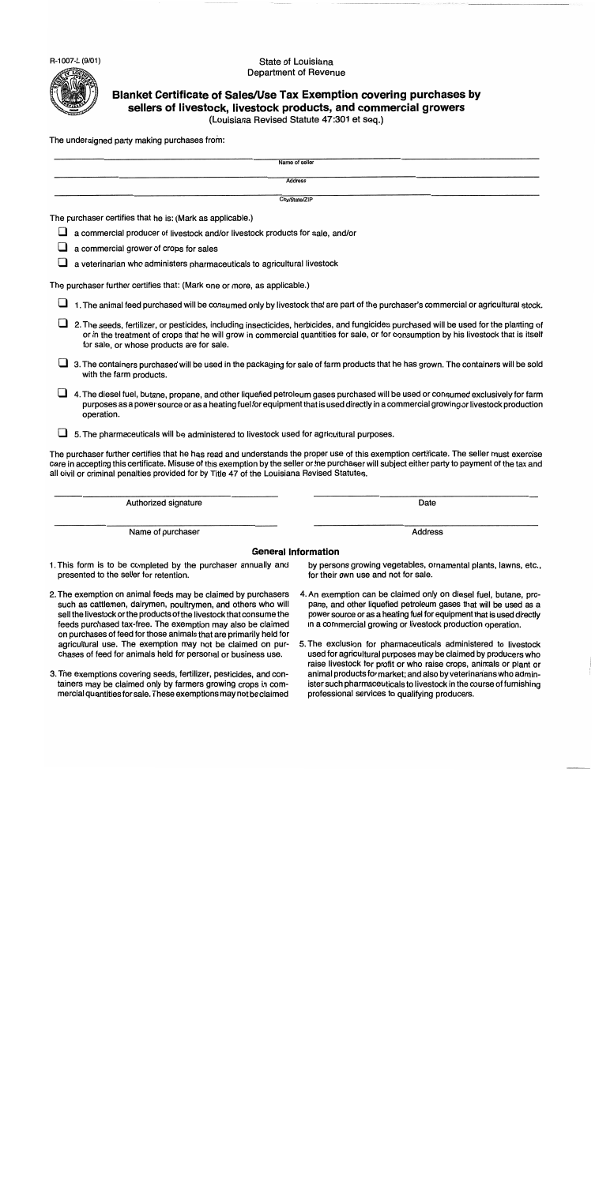R-1007-L (9/01)

#### State of Louisiana **Department of Revenue**



# Blanket Certificate of Sales/Use Tax Exemption covering purchases by sellers of livestock, livestock products, and commercial growers

(Louisiana Revised Statute 47:301 et seq.)

The undersigned party making purchases from:

| Name of seller                                                                                                                                                                                                                                                                                                                                                                            |                                                                                                                                                                                                                                                                         |  |
|-------------------------------------------------------------------------------------------------------------------------------------------------------------------------------------------------------------------------------------------------------------------------------------------------------------------------------------------------------------------------------------------|-------------------------------------------------------------------------------------------------------------------------------------------------------------------------------------------------------------------------------------------------------------------------|--|
| <b>Address</b>                                                                                                                                                                                                                                                                                                                                                                            |                                                                                                                                                                                                                                                                         |  |
| City/State/ZIP                                                                                                                                                                                                                                                                                                                                                                            |                                                                                                                                                                                                                                                                         |  |
| The purchaser certifies that he is: (Mark as applicable.)                                                                                                                                                                                                                                                                                                                                 |                                                                                                                                                                                                                                                                         |  |
| a commercial producer of livestock and/or livestock products for sale, and/or                                                                                                                                                                                                                                                                                                             |                                                                                                                                                                                                                                                                         |  |
| a commercial grower of crops for sales                                                                                                                                                                                                                                                                                                                                                    |                                                                                                                                                                                                                                                                         |  |
| a veterinarian who administers pharmaceuticals to agricultural livestock                                                                                                                                                                                                                                                                                                                  |                                                                                                                                                                                                                                                                         |  |
| The purchaser further certifies that: (Mark one or more, as applicable.)                                                                                                                                                                                                                                                                                                                  |                                                                                                                                                                                                                                                                         |  |
|                                                                                                                                                                                                                                                                                                                                                                                           | 1. The animal feed purchased will be consumed only by livestock that are part of the purchaser's commercial or agricultural stock.                                                                                                                                      |  |
| 2. The seeds, fertilizer, or pesticides, including insecticides, herbicides, and fungicides purchased will be used for the planting of<br>or in the treatment of crops that he will grow in commercial quantities for sale, or for consumption by his livestock that is itself<br>for sale, or whose products are for sale.                                                               |                                                                                                                                                                                                                                                                         |  |
| with the farm products.                                                                                                                                                                                                                                                                                                                                                                   | 3. The containers purchased will be used in the packaging for sale of farm products that he has grown. The containers will be sold                                                                                                                                      |  |
| operation.                                                                                                                                                                                                                                                                                                                                                                                | 4. The diesel fuel, butane, propane, and other liquefied petroleum gases purchased will be used or consumed exclusively for farm<br>purposes as a power source or as a heating fuel for equipment that is used directly in a commercial growing or livestock production |  |
| 5. The pharmaceuticals will be administered to livestock used for agricultural purposes.                                                                                                                                                                                                                                                                                                  |                                                                                                                                                                                                                                                                         |  |
| The purchaser further certifies that he has read and understands the proper use of this exemption certificate. The seller must exercise<br>care in accepting this certificate. Misuse of this exemption by the seller or the purchaser will subject either party to payment of the tax and<br>all civil or criminal penalties provided for by Title 47 of the Louisiana Revised Statutes. |                                                                                                                                                                                                                                                                         |  |
| Authorized signature                                                                                                                                                                                                                                                                                                                                                                      | Date                                                                                                                                                                                                                                                                    |  |
| Name of purchaser                                                                                                                                                                                                                                                                                                                                                                         | <b>Address</b>                                                                                                                                                                                                                                                          |  |
| <b>General Information</b>                                                                                                                                                                                                                                                                                                                                                                |                                                                                                                                                                                                                                                                         |  |
| 1. This form is to be completed by the purchaser annually and<br>presented to the seller for retention.                                                                                                                                                                                                                                                                                   | by persons growing vegetables, ornamental plants, lawns, etc.,<br>for their own use and not for sale.                                                                                                                                                                   |  |
| o The exemption an enjmel feeds may be eleimed by nureboogs and the exemption can be eleimed anty on dissal fuel butane pro                                                                                                                                                                                                                                                               |                                                                                                                                                                                                                                                                         |  |

- 2. The exemption on animal feeds may be claimed by purchasers such as cattlemen, dairymen, poultrymen, and others who will sell the livestock or the products of the livestock that consume the feeds purchased tax-free. The exemption may also be claimed on purchases of feed for those animals that are primarily held for agricultural use. The exemption may not be claimed on purchases of feed for animals held for personal or business use.
- 3. The exemptions covering seeds, fertilizer, pesticides, and containers may be claimed only by farmers growing crops in commercial quantities for sale. These exemptions may not be claimed

- 4. An exemption can be claimed only on diesel fuel, butane, propane, and other liquefied petroleum gases that will be used as a power source or as a heating fuel for equipment that is used directly in a commercial growing or livestock production operation.
- 5. The exclusion for pharmaceuticals administered to livestock used for agricultural purposes may be claimed by producers who raise livestock for profit or who raise crops, animals or plant or animal products for market; and also by veterinarians who administer such pharmaceuticals to livestock in the course of furnishing professional services to qualifying producers.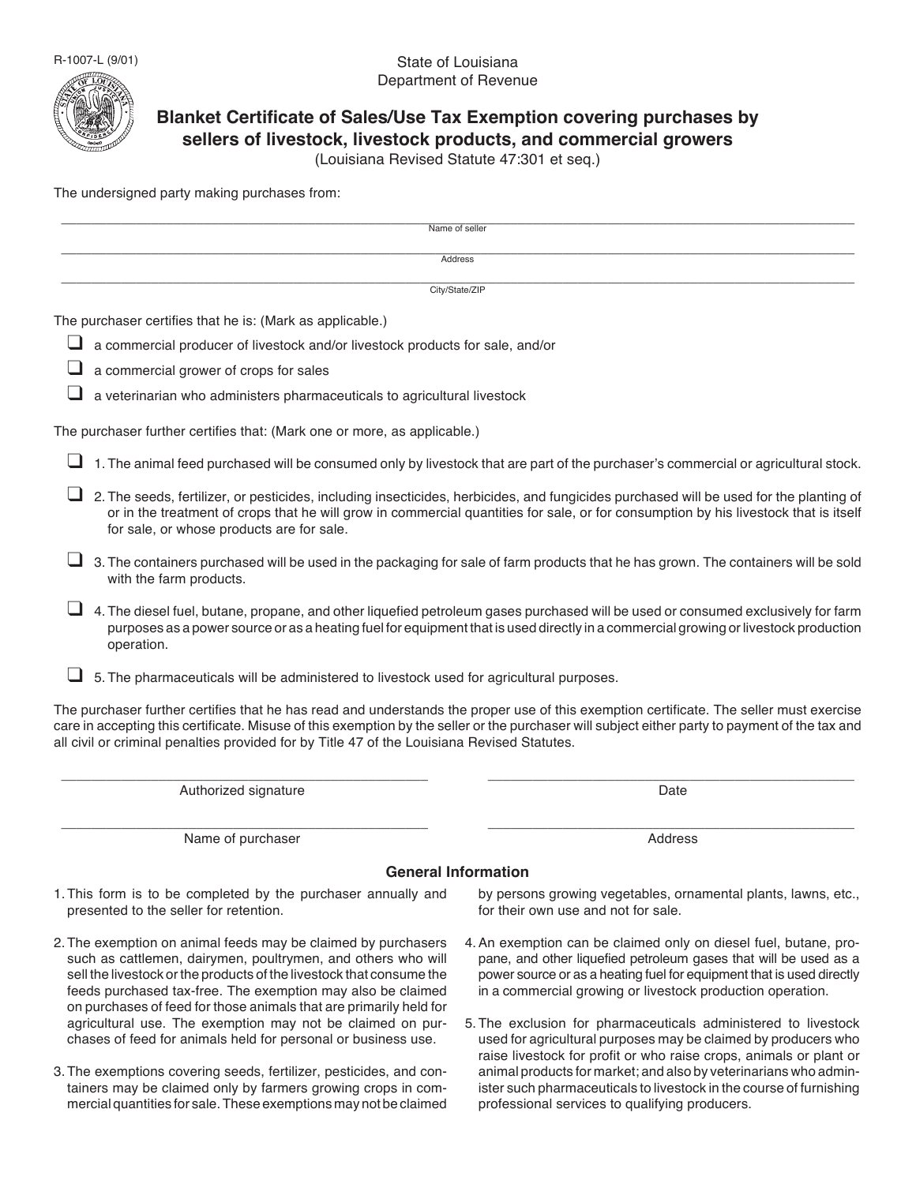R-1007-L (9/01)

#### State of Louisiana Department of Revenue



## **Blanket Certificate of Sales/Use Tax Exemption covering purchases by sellers of livestock, livestock products, and commercial growers**

(Louisiana Revised Statute 47:301 et seq.)

\_\_\_\_\_\_\_\_\_\_\_\_\_\_\_\_\_\_\_\_\_\_\_\_\_\_\_\_\_\_\_\_\_\_\_\_\_\_\_\_\_\_\_\_\_\_\_\_\_\_\_\_\_\_\_\_\_\_\_\_\_\_\_\_\_\_\_\_\_\_\_\_\_\_\_\_\_\_\_\_\_\_\_\_\_\_\_\_\_\_\_\_\_\_\_\_\_\_\_\_\_\_\_\_\_\_

The undersigned party making purchases from:

|   | Name of seller                                                                                                                                                                                                                                                                                                                                                                            |                                                                                                                                      |  |
|---|-------------------------------------------------------------------------------------------------------------------------------------------------------------------------------------------------------------------------------------------------------------------------------------------------------------------------------------------------------------------------------------------|--------------------------------------------------------------------------------------------------------------------------------------|--|
|   | Address                                                                                                                                                                                                                                                                                                                                                                                   |                                                                                                                                      |  |
|   | City/State/ZIP                                                                                                                                                                                                                                                                                                                                                                            |                                                                                                                                      |  |
|   | The purchaser certifies that he is: (Mark as applicable.)                                                                                                                                                                                                                                                                                                                                 |                                                                                                                                      |  |
| ப | a commercial producer of livestock and/or livestock products for sale, and/or                                                                                                                                                                                                                                                                                                             |                                                                                                                                      |  |
|   | a commercial grower of crops for sales                                                                                                                                                                                                                                                                                                                                                    |                                                                                                                                      |  |
|   | a veterinarian who administers pharmaceuticals to agricultural livestock                                                                                                                                                                                                                                                                                                                  |                                                                                                                                      |  |
|   | The purchaser further certifies that: (Mark one or more, as applicable.)                                                                                                                                                                                                                                                                                                                  |                                                                                                                                      |  |
|   | 1. The animal feed purchased will be consumed only by livestock that are part of the purchaser's commercial or agricultural stock.                                                                                                                                                                                                                                                        |                                                                                                                                      |  |
|   | 2. The seeds, fertilizer, or pesticides, including insecticides, herbicides, and fungicides purchased will be used for the planting of<br>for sale, or whose products are for sale.                                                                                                                                                                                                       | or in the treatment of crops that he will grow in commercial quantities for sale, or for consumption by his livestock that is itself |  |
|   | 3. The containers purchased will be used in the packaging for sale of farm products that he has grown. The containers will be sold<br>with the farm products.                                                                                                                                                                                                                             |                                                                                                                                      |  |
|   | 4. The diesel fuel, butane, propane, and other liquefied petroleum gases purchased will be used or consumed exclusively for farm<br>operation.                                                                                                                                                                                                                                            | purposes as a power source or as a heating fuel for equipment that is used directly in a commercial growing or livestock production  |  |
|   | 5. The pharmaceuticals will be administered to livestock used for agricultural purposes.                                                                                                                                                                                                                                                                                                  |                                                                                                                                      |  |
|   | The purchaser further certifies that he has read and understands the proper use of this exemption certificate. The seller must exercise<br>care in accepting this certificate. Misuse of this exemption by the seller or the purchaser will subject either party to payment of the tax and<br>all civil or criminal penalties provided for by Title 47 of the Louisiana Revised Statutes. |                                                                                                                                      |  |
|   | Authorized signature                                                                                                                                                                                                                                                                                                                                                                      | Date                                                                                                                                 |  |
|   |                                                                                                                                                                                                                                                                                                                                                                                           |                                                                                                                                      |  |

Name of purchaser and the state of purchaser and the state of purchaser and the Address

#### **General Information**

- 1. This form is to be completed by the purchaser annually and presented to the seller for retention.
- 2. The exemption on animal feeds may be claimed by purchasers such as cattlemen, dairymen, poultrymen, and others who will sell the livestock or the products of the livestock that consume the feeds purchased tax-free. The exemption may also be claimed on purchases of feed for those animals that are primarily held for agricultural use. The exemption may not be claimed on purchases of feed for animals held for personal or business use.
- 3. The exemptions covering seeds, fertilizer, pesticides, and containers may be claimed only by farmers growing crops in commercial quantities for sale. These exemptions may not be claimed

by persons growing vegetables, ornamental plants, lawns, etc., for their own use and not for sale.

- 4. An exemption can be claimed only on diesel fuel, butane, propane, and other liquefied petroleum gases that will be used as a power source or as a heating fuel for equipment that is used directly in a commercial growing or livestock production operation.
- 5. The exclusion for pharmaceuticals administered to livestock used for agricultural purposes may be claimed by producers who raise livestock for profit or who raise crops, animals or plant or animal products for market; and also by veterinarians who administer such pharmaceuticals to livestock in the course of furnishing professional services to qualifying producers.